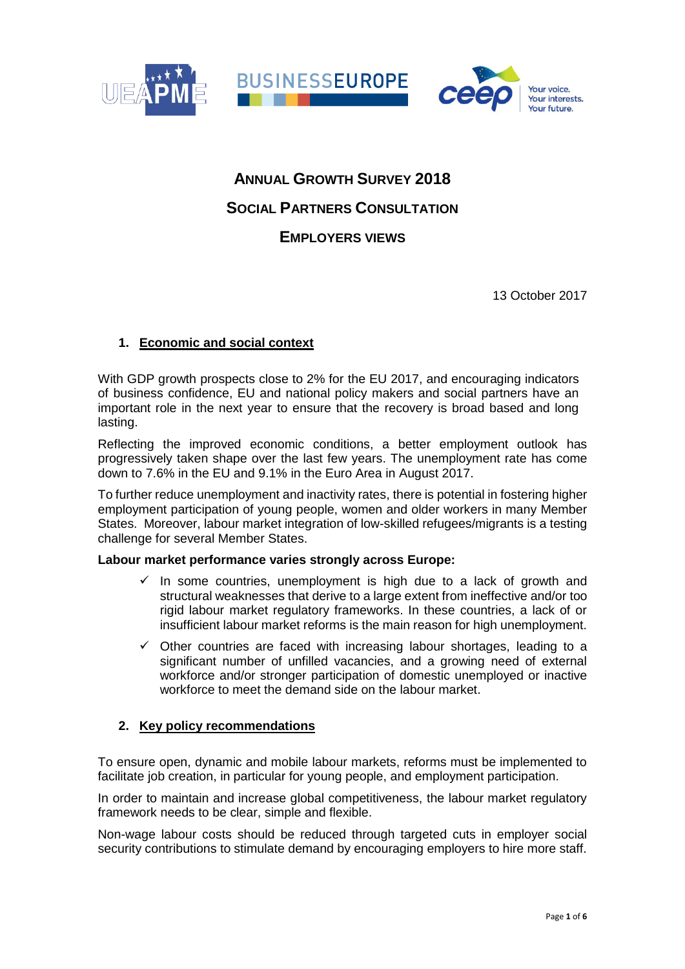

# **ANNUAL GROWTH SURVEY 2018 SOCIAL PARTNERS CONSULTATION EMPLOYERS VIEWS**

13 October 2017

# **1. Economic and social context**

With GDP growth prospects close to 2% for the EU 2017, and encouraging indicators of business confidence, EU and national policy makers and social partners have an important role in the next year to ensure that the recovery is broad based and long lasting.

Reflecting the improved economic conditions, a better employment outlook has progressively taken shape over the last few years. The unemployment rate has come down to 7.6% in the EU and 9.1% in the Euro Area in August 2017.

To further reduce unemployment and inactivity rates, there is potential in fostering higher employment participation of young people, women and older workers in many Member States. Moreover, labour market integration of low-skilled refugees/migrants is a testing challenge for several Member States.

#### **Labour market performance varies strongly across Europe:**

- $\checkmark$  In some countries, unemployment is high due to a lack of growth and structural weaknesses that derive to a large extent from ineffective and/or too rigid labour market regulatory frameworks. In these countries, a lack of or insufficient labour market reforms is the main reason for high unemployment.
- $\checkmark$  Other countries are faced with increasing labour shortages, leading to a significant number of unfilled vacancies, and a growing need of external workforce and/or stronger participation of domestic unemployed or inactive workforce to meet the demand side on the labour market.

## **2. Key policy recommendations**

To ensure open, dynamic and mobile labour markets, reforms must be implemented to facilitate job creation, in particular for young people, and employment participation.

In order to maintain and increase global competitiveness, the labour market regulatory framework needs to be clear, simple and flexible.

Non-wage labour costs should be reduced through targeted cuts in employer social security contributions to stimulate demand by encouraging employers to hire more staff.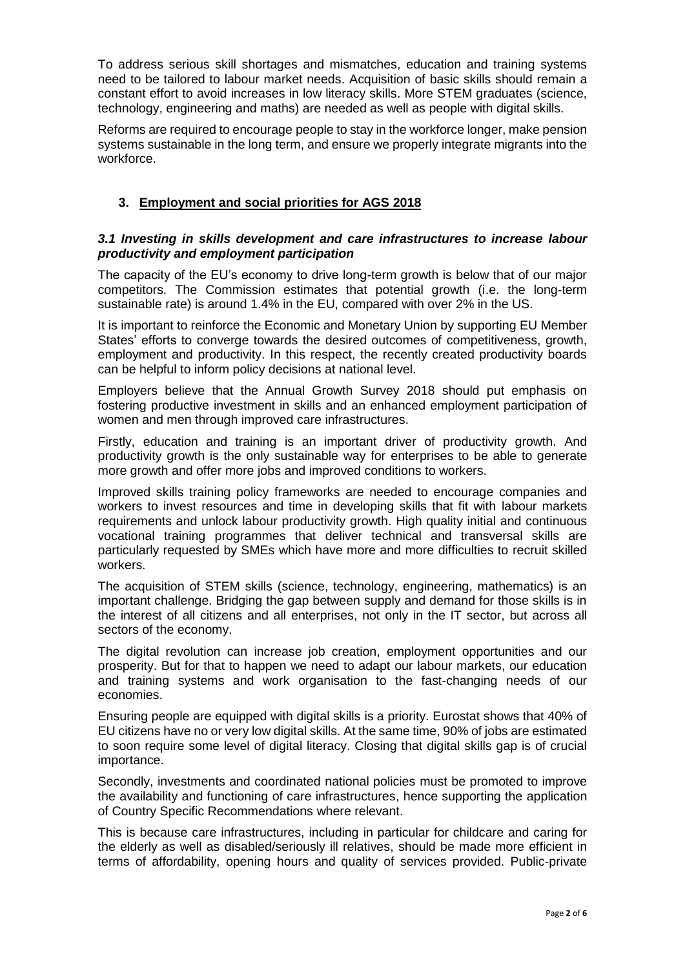To address serious skill shortages and mismatches, education and training systems need to be tailored to labour market needs. Acquisition of basic skills should remain a constant effort to avoid increases in low literacy skills. More STEM graduates (science, technology, engineering and maths) are needed as well as people with digital skills.

Reforms are required to encourage people to stay in the workforce longer, make pension systems sustainable in the long term, and ensure we properly integrate migrants into the workforce.

# **3. Employment and social priorities for AGS 2018**

## *3.1 Investing in skills development and care infrastructures to increase labour productivity and employment participation*

The capacity of the EU's economy to drive long-term growth is below that of our major competitors. The Commission estimates that potential growth (i.e. the long-term sustainable rate) is around 1.4% in the EU, compared with over 2% in the US.

It is important to reinforce the Economic and Monetary Union by supporting EU Member States' efforts to converge towards the desired outcomes of competitiveness, growth, employment and productivity. In this respect, the recently created productivity boards can be helpful to inform policy decisions at national level.

Employers believe that the Annual Growth Survey 2018 should put emphasis on fostering productive investment in skills and an enhanced employment participation of women and men through improved care infrastructures.

Firstly, education and training is an important driver of productivity growth. And productivity growth is the only sustainable way for enterprises to be able to generate more growth and offer more jobs and improved conditions to workers.

Improved skills training policy frameworks are needed to encourage companies and workers to invest resources and time in developing skills that fit with labour markets requirements and unlock labour productivity growth. High quality initial and continuous vocational training programmes that deliver technical and transversal skills are particularly requested by SMEs which have more and more difficulties to recruit skilled workers.

The acquisition of STEM skills (science, technology, engineering, mathematics) is an important challenge. Bridging the gap between supply and demand for those skills is in the interest of all citizens and all enterprises, not only in the IT sector, but across all sectors of the economy.

The digital revolution can increase job creation, employment opportunities and our prosperity. But for that to happen we need to adapt our labour markets, our education and training systems and work organisation to the fast-changing needs of our economies.

Ensuring people are equipped with digital skills is a priority. Eurostat shows that 40% of EU citizens have no or very low digital skills. At the same time, 90% of jobs are estimated to soon require some level of digital literacy. Closing that digital skills gap is of crucial importance.

Secondly, investments and coordinated national policies must be promoted to improve the availability and functioning of care infrastructures, hence supporting the application of Country Specific Recommendations where relevant.

This is because care infrastructures, including in particular for childcare and caring for the elderly as well as disabled/seriously ill relatives, should be made more efficient in terms of affordability, opening hours and quality of services provided. Public-private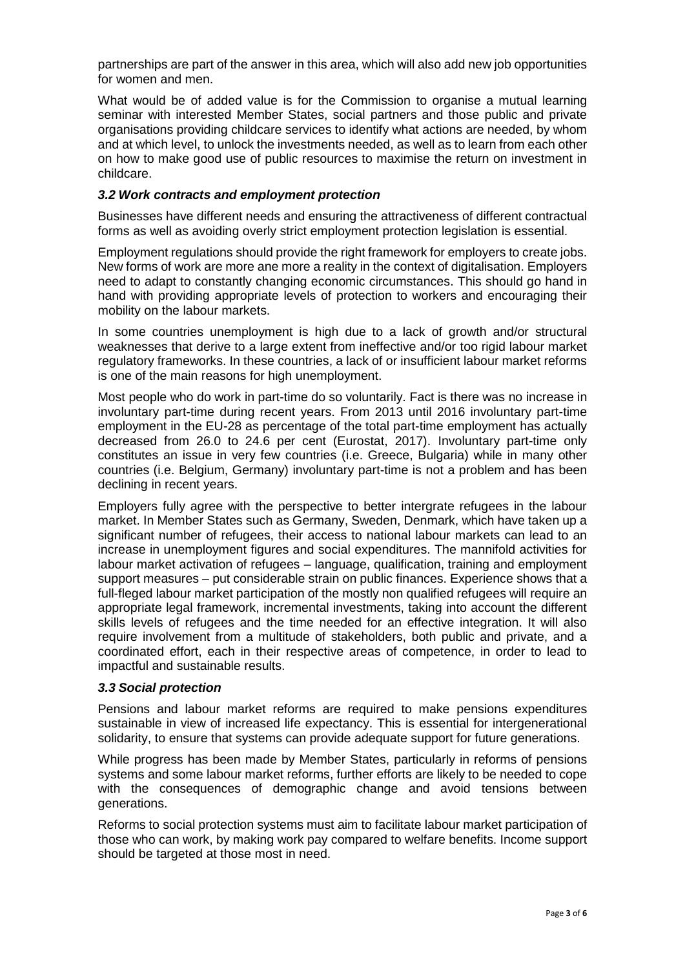partnerships are part of the answer in this area, which will also add new job opportunities for women and men.

What would be of added value is for the Commission to organise a mutual learning seminar with interested Member States, social partners and those public and private organisations providing childcare services to identify what actions are needed, by whom and at which level, to unlock the investments needed, as well as to learn from each other on how to make good use of public resources to maximise the return on investment in childcare.

#### *3.2 Work contracts and employment protection*

Businesses have different needs and ensuring the attractiveness of different contractual forms as well as avoiding overly strict employment protection legislation is essential.

Employment regulations should provide the right framework for employers to create jobs. New forms of work are more ane more a reality in the context of digitalisation. Employers need to adapt to constantly changing economic circumstances. This should go hand in hand with providing appropriate levels of protection to workers and encouraging their mobility on the labour markets.

In some countries unemployment is high due to a lack of growth and/or structural weaknesses that derive to a large extent from ineffective and/or too rigid labour market regulatory frameworks. In these countries, a lack of or insufficient labour market reforms is one of the main reasons for high unemployment.

Most people who do work in part-time do so voluntarily. Fact is there was no increase in involuntary part-time during recent years. From 2013 until 2016 involuntary part-time employment in the EU-28 as percentage of the total part-time employment has actually decreased from 26.0 to 24.6 per cent (Eurostat, 2017). Involuntary part-time only constitutes an issue in very few countries (i.e. Greece, Bulgaria) while in many other countries (i.e. Belgium, Germany) involuntary part-time is not a problem and has been declining in recent years.

Employers fully agree with the perspective to better intergrate refugees in the labour market. In Member States such as Germany, Sweden, Denmark, which have taken up a significant number of refugees, their access to national labour markets can lead to an increase in unemployment figures and social expenditures. The mannifold activities for labour market activation of refugees – language, qualification, training and employment support measures – put considerable strain on public finances. Experience shows that a full-fleged labour market participation of the mostly non qualified refugees will require an appropriate legal framework, incremental investments, taking into account the different skills levels of refugees and the time needed for an effective integration. It will also require involvement from a multitude of stakeholders, both public and private, and a coordinated effort, each in their respective areas of competence, in order to lead to impactful and sustainable results.

#### *3.3 Social protection*

Pensions and labour market reforms are required to make pensions expenditures sustainable in view of increased life expectancy. This is essential for intergenerational solidarity, to ensure that systems can provide adequate support for future generations.

While progress has been made by Member States, particularly in reforms of pensions systems and some labour market reforms, further efforts are likely to be needed to cope with the consequences of demographic change and avoid tensions between generations.

Reforms to social protection systems must aim to facilitate labour market participation of those who can work, by making work pay compared to welfare benefits. Income support should be targeted at those most in need.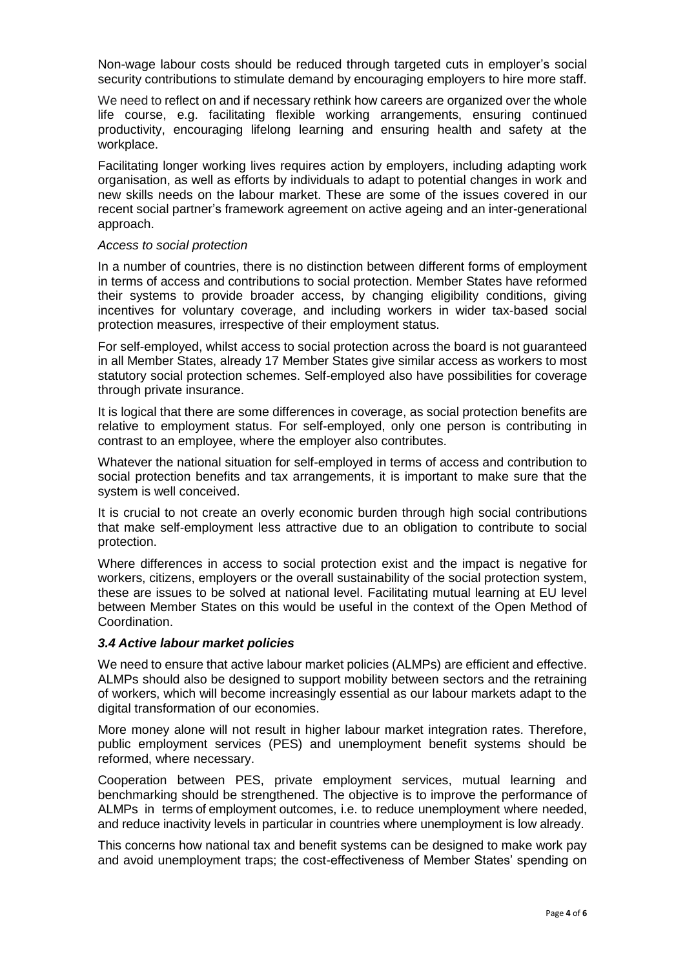Non-wage labour costs should be reduced through targeted cuts in employer's social security contributions to stimulate demand by encouraging employers to hire more staff.

We need to reflect on and if necessary rethink how careers are organized over the whole life course, e.g. facilitating flexible working arrangements, ensuring continued productivity, encouraging lifelong learning and ensuring health and safety at the workplace.

Facilitating longer working lives requires action by employers, including adapting work organisation, as well as efforts by individuals to adapt to potential changes in work and new skills needs on the labour market. These are some of the issues covered in our recent social partner's framework agreement on active ageing and an inter-generational approach.

#### *Access to social protection*

In a number of countries, there is no distinction between different forms of employment in terms of access and contributions to social protection. Member States have reformed their systems to provide broader access, by changing eligibility conditions, giving incentives for voluntary coverage, and including workers in wider tax-based social protection measures, irrespective of their employment status.

For self-employed, whilst access to social protection across the board is not guaranteed in all Member States, already 17 Member States give similar access as workers to most statutory social protection schemes. Self-employed also have possibilities for coverage through private insurance.

It is logical that there are some differences in coverage, as social protection benefits are relative to employment status. For self-employed, only one person is contributing in contrast to an employee, where the employer also contributes.

Whatever the national situation for self-employed in terms of access and contribution to social protection benefits and tax arrangements, it is important to make sure that the system is well conceived.

It is crucial to not create an overly economic burden through high social contributions that make self-employment less attractive due to an obligation to contribute to social protection.

Where differences in access to social protection exist and the impact is negative for workers, citizens, employers or the overall sustainability of the social protection system, these are issues to be solved at national level. Facilitating mutual learning at EU level between Member States on this would be useful in the context of the Open Method of Coordination.

#### *3.4 Active labour market policies*

We need to ensure that active labour market policies (ALMPs) are efficient and effective. ALMPs should also be designed to support mobility between sectors and the retraining of workers, which will become increasingly essential as our labour markets adapt to the digital transformation of our economies.

More money alone will not result in higher labour market integration rates. Therefore, public employment services (PES) and unemployment benefit systems should be reformed, where necessary.

Cooperation between PES, private employment services, mutual learning and benchmarking should be strengthened. The objective is to improve the performance of ALMPs in terms of employment outcomes, i.e. to reduce unemployment where needed, and reduce inactivity levels in particular in countries where unemployment is low already.

This concerns how national tax and benefit systems can be designed to make work pay and avoid unemployment traps; the cost-effectiveness of Member States' spending on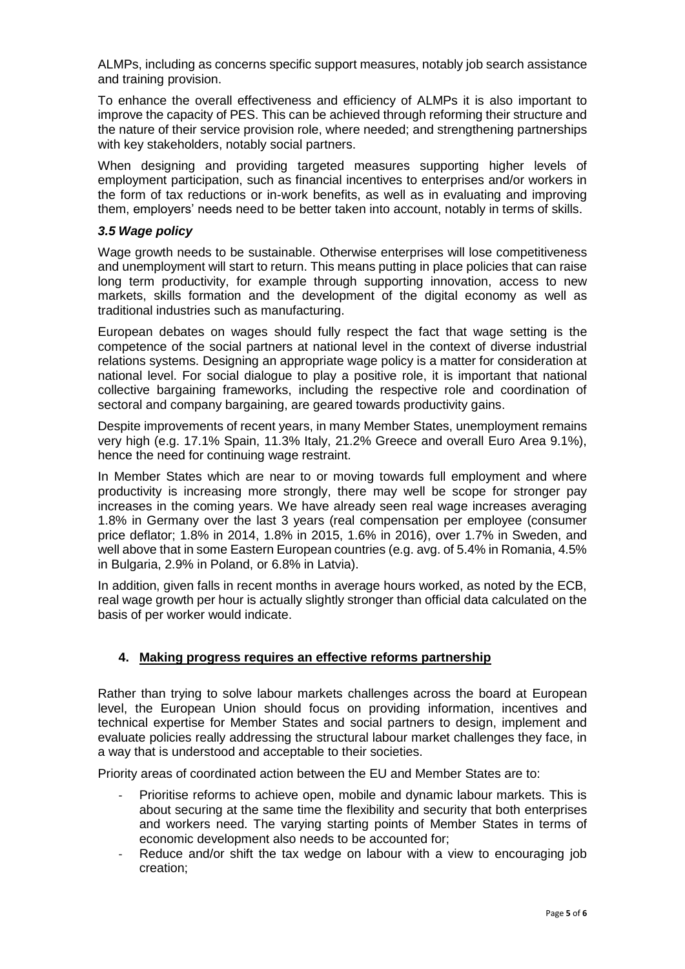ALMPs, including as concerns specific support measures, notably job search assistance and training provision.

To enhance the overall effectiveness and efficiency of ALMPs it is also important to improve the capacity of PES. This can be achieved through reforming their structure and the nature of their service provision role, where needed; and strengthening partnerships with key stakeholders, notably social partners.

When designing and providing targeted measures supporting higher levels of employment participation, such as financial incentives to enterprises and/or workers in the form of tax reductions or in-work benefits, as well as in evaluating and improving them, employers' needs need to be better taken into account, notably in terms of skills.

#### *3.5 Wage policy*

Wage growth needs to be sustainable. Otherwise enterprises will lose competitiveness and unemployment will start to return. This means putting in place policies that can raise long term productivity, for example through supporting innovation, access to new markets, skills formation and the development of the digital economy as well as traditional industries such as manufacturing.

European debates on wages should fully respect the fact that wage setting is the competence of the social partners at national level in the context of diverse industrial relations systems. Designing an appropriate wage policy is a matter for consideration at national level. For social dialogue to play a positive role, it is important that national collective bargaining frameworks, including the respective role and coordination of sectoral and company bargaining, are geared towards productivity gains.

Despite improvements of recent years, in many Member States, unemployment remains very high (e.g. 17.1% Spain, 11.3% Italy, 21.2% Greece and overall Euro Area 9.1%), hence the need for continuing wage restraint.

In Member States which are near to or moving towards full employment and where productivity is increasing more strongly, there may well be scope for stronger pay increases in the coming years. We have already seen real wage increases averaging 1.8% in Germany over the last 3 years (real compensation per employee (consumer price deflator; 1.8% in 2014, 1.8% in 2015, 1.6% in 2016), over 1.7% in Sweden, and well above that in some Eastern European countries (e.g. avg. of 5.4% in Romania, 4.5% in Bulgaria, 2.9% in Poland, or 6.8% in Latvia).

In addition, given falls in recent months in average hours worked, as noted by the ECB, real wage growth per hour is actually slightly stronger than official data calculated on the basis of per worker would indicate.

## **4. Making progress requires an effective reforms partnership**

Rather than trying to solve labour markets challenges across the board at European level, the European Union should focus on providing information, incentives and technical expertise for Member States and social partners to design, implement and evaluate policies really addressing the structural labour market challenges they face, in a way that is understood and acceptable to their societies.

Priority areas of coordinated action between the EU and Member States are to:

- Prioritise reforms to achieve open, mobile and dynamic labour markets. This is about securing at the same time the flexibility and security that both enterprises and workers need. The varying starting points of Member States in terms of economic development also needs to be accounted for;
- Reduce and/or shift the tax wedge on labour with a view to encouraging job creation;